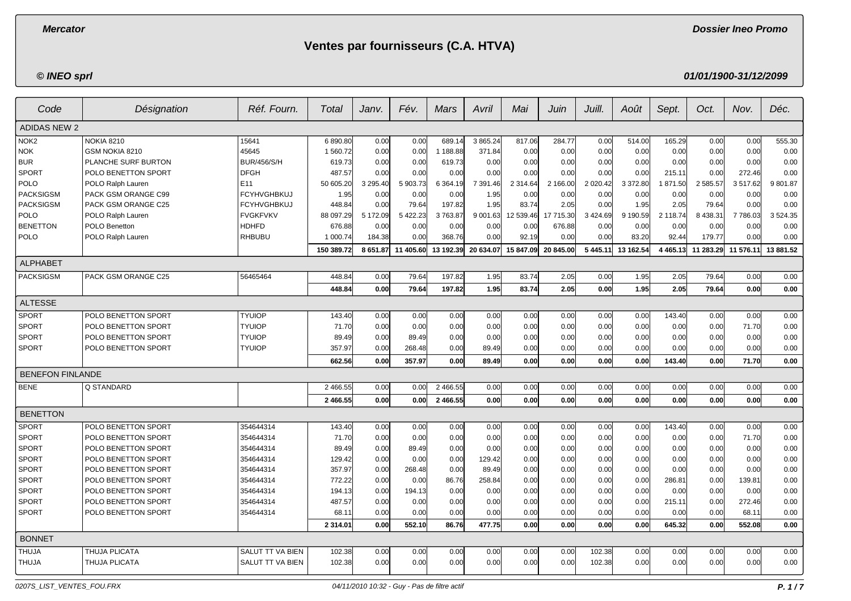**Dossier Ineo Promo**

# **Ventes par fournisseurs (C.A. HTVA)**

## **© INEO sprl**

**01/01/1900-31/12/2099**

| Code                    | Désignation         | Réf. Fourn.        | Total         | Janv.    | Fév.      | Mars      | Avril     | Mai           | Juin      | Juill.       | Août      | Sept.         | Oct.      | Nov.      | Déc.        |
|-------------------------|---------------------|--------------------|---------------|----------|-----------|-----------|-----------|---------------|-----------|--------------|-----------|---------------|-----------|-----------|-------------|
| <b>ADIDAS NEW 2</b>     |                     |                    |               |          |           |           |           |               |           |              |           |               |           |           |             |
| NOK <sub>2</sub>        | <b>NOKIA 8210</b>   | 15641              | 6890.80       | 0.00     | 0.00      | 689.14    | 3 865.24  | 817.06        | 284.77    | 0.00         | 514.00    | 165.29        | 0.00      | 0.00      | 555.30      |
| <b>NOK</b>              | GSM NOKIA 8210      | 45645              | 1 560.72      | 0.00     | 0.00      | 1 188.88  | 371.84    | 0.00          | 0.00      | 0.00         | 0.00      | 0.00          | 0.00      | 0.00      | 0.00        |
| <b>BUR</b>              | PLANCHE SURF BURTON | <b>BUR/456/S/H</b> | 619.73        | 0.00     | 0.00      | 619.73    | 0.00      | 0.00          | 0.00      | 0.00         | 0.00      | 0.00          | 0.00      | 0.00      | 0.00        |
| <b>SPORT</b>            | POLO BENETTON SPORT | <b>DFGH</b>        | 487.57        | 0.00     | 0.00      | 0.00      | 0.00      | 0.00          | 0.00      | 0.00         | 0.00      | 215.11        | 0.00      | 272.46    | 0.00        |
| POLO                    | POLO Ralph Lauren   | E11                | 50 605.20     | 3 295.40 | 5 903.73  | 6 3 64.19 | 7 391.46  | 2 3 1 4 . 6 4 | 2 166.00  | 2 0 2 0.42   | 3 372.80  | 1871.50       | 2 585.57  | 3517.62   | 9801.87     |
| <b>PACKSIGSM</b>        | PACK GSM ORANGE C99 | <b>FCYHVGHBKUJ</b> | 1.95          | 0.00     | 0.00      | 0.00      | 1.95      | 0.00          | 0.00      | 0.00         | 0.00      | 0.00          | 0.00      | 0.00      | 0.00        |
| <b>PACKSIGSM</b>        | PACK GSM ORANGE C25 | <b>FCYHVGHBKUJ</b> | 448.84        | 0.00     | 79.64     | 197.82    | 1.95      | 83.74         | 2.05      | 0.00         | 1.95      | 2.05          | 79.64     | 0.00      | 0.00        |
| POLO                    | POLO Ralph Lauren   | <b>FVGKFVKV</b>    | 88 097.29     | 5 172.09 | 5 422.23  | 3763.87   | 9 001.63  | 12 539.46     | 17 715.30 | 3 4 24 69    | 9 190.59  | 2 118.74      | 8 4 38.31 | 7 786.03  | 3 5 24 . 35 |
| <b>BENETTON</b>         | POLO Benetton       | <b>HDHFD</b>       | 676.88        | 0.00     | 0.00      | 0.00      | 0.00      | 0.00          | 676.88    | 0.00         | 0.00      | 0.00          | 0.00      | 0.00      | 0.00        |
| POLO                    | POLO Ralph Lauren   | <b>RHBUBU</b>      | 1 000.74      | 184.38   | 0.00      | 368.76    | 0.00      | 92.19         | 0.00      | 0.00         | 83.20     | 92.44         | 179.77    | 0.00      | 0.00        |
|                         |                     |                    | 150 389.72    | 8 651.87 | 11 405.60 | 13 192.39 | 20 634.07 | 15 847.09     | 20 845.00 | 5 4 4 5 . 11 | 13 162.54 | 4 4 6 5 . 1 3 | 11 283.29 | 11 576.11 | 13 881.52   |
| <b>ALPHABET</b>         |                     |                    |               |          |           |           |           |               |           |              |           |               |           |           |             |
| <b>PACKSIGSM</b>        | PACK GSM ORANGE C25 | 56465464           | 448.84        | 0.00     | 79.64     | 197.82    | 1.95      | 83.74         | 2.05      | 0.00         | 1.95      | 2.05          | 79.64     | 0.00      | 0.00        |
|                         |                     |                    | 448.84        | 0.00     | 79.64     | 197.82    | 1.95      | 83.74         | 2.05      | 0.00         | 1.95      | 2.05          | 79.64     | 0.00      | 0.00        |
| <b>ALTESSE</b>          |                     |                    |               |          |           |           |           |               |           |              |           |               |           |           |             |
| <b>SPORT</b>            | POLO BENETTON SPORT | <b>TYUIOP</b>      | 143.40        | 0.00     | 0.00      | 0.00      | 0.00      | 0.00          | 0.00      | 0.00         | 0.00      | 143.40        | 0.00      | 0.00      | 0.00        |
| SPORT                   | POLO BENETTON SPORT | <b>TYUIOP</b>      | 71.70         | 0.00     | 0.00      | 0.00      | 0.00      | 0.00          | 0.00      | 0.00         | 0.00      | 0.00          | 0.00      | 71.70     | 0.00        |
| <b>SPORT</b>            | POLO BENETTON SPORT | <b>TYUIOP</b>      | 89.49         | 0.00     | 89.49     | 0.00      | 0.00      | 0.00          | 0.00      | 0.00         | 0.00      | 0.00          | 0.00      | 0.00      | 0.00        |
| <b>SPORT</b>            | POLO BENETTON SPORT | <b>TYUIOP</b>      | 357.97        | 0.00     | 268.48    | 0.00      | 89.49     | 0.00          | 0.00      | 0.00         | 0.00      | 0.00          | 0.00      | 0.00      | 0.00        |
|                         |                     |                    | 662.56        | 0.00     | 357.97    | 0.00      | 89.49     | 0.00          | 0.00      | 0.00         | 0.00      | 143.40        | 0.00      | 71.70     | 0.00        |
| <b>BENEFON FINLANDE</b> |                     |                    |               |          |           |           |           |               |           |              |           |               |           |           |             |
| <b>BENE</b>             | Q STANDARD          |                    | 2 466.55      | 0.00     | 0.00      | 2 466.55  | 0.00      | 0.00          | 0.00      | 0.00         | 0.00      | 0.00          | 0.00      | 0.00      | 0.00        |
|                         |                     |                    | 2 466.55      | 0.00     | 0.00      | 2 466.55  | 0.00      | 0.00          | 0.00      | 0.00         | 0.00      | 0.00          | 0.00      | 0.00      | 0.00        |
| <b>BENETTON</b>         |                     |                    |               |          |           |           |           |               |           |              |           |               |           |           |             |
| <b>SPORT</b>            | POLO BENETTON SPORT | 354644314          | 143.40        | 0.00     | 0.00      | 0.00      | 0.00      | 0.00          | 0.00      | 0.00         | 0.00      | 143.40        | 0.00      | 0.00      | 0.00        |
| <b>SPORT</b>            | POLO BENETTON SPORT | 354644314          | 71.70         | 0.00     | 0.00      | 0.00      | 0.00      | 0.00          | 0.00      | 0.00         | 0.00      | 0.00          | 0.00      | 71.70     | 0.00        |
| <b>SPORT</b>            | POLO BENETTON SPORT | 354644314          | 89.49         | 0.00     | 89.49     | 0.00      | 0.00      | 0.00          | 0.00      | 0.00         | 0.00      | 0.00          | 0.00      | 0.00      | 0.00        |
| <b>SPORT</b>            | POLO BENETTON SPORT | 354644314          | 129.42        | 0.00     | 0.00      | 0.00      | 129.42    | 0.00          | 0.00      | 0.00         | 0.00      | 0.00          | 0.00      | 0.00      | 0.00        |
| <b>SPORT</b>            | POLO BENETTON SPORT | 354644314          | 357.97        | 0.00     | 268.48    | 0.00      | 89.49     | 0.00          | 0.00      | 0.00         | 0.00      | 0.00          | 0.00      | 0.00      | 0.00        |
| <b>SPORT</b>            | POLO BENETTON SPORT | 354644314          | 772.22        | 0.00     | 0.00      | 86.76     | 258.84    | 0.00          | 0.00      | 0.00         | 0.00      | 286.81        | 0.00      | 139.81    | 0.00        |
| <b>SPORT</b>            | POLO BENETTON SPORT | 354644314          | 194.13        | 0.00     | 194.13    | 0.00      | 0.00      | 0.00          | 0.00      | 0.00         | 0.00      | 0.00          | 0.00      | 0.00      | 0.00        |
| <b>SPORT</b>            | POLO BENETTON SPORT | 354644314          | 487.57        | 0.00     | 0.00      | 0.00      | 0.00      | 0.00          | 0.00      | 0.00         | 0.00      | 215.11        | 0.00      | 272.46    | 0.00        |
| <b>SPORT</b>            | POLO BENETTON SPORT | 354644314          | 68.11         | 0.00     | 0.00      | 0.00      | 0.00      | 0.00          | 0.00      | 0.00         | 0.00      | 0.00          | 0.00      | 68.11     | 0.00        |
|                         |                     |                    | 2 3 1 4 . 0 1 | 0.00     | 552.10    | 86.76     | 477.75    | 0.00          | 0.00      | 0.00         | 0.00      | 645.32        | 0.00      | 552.08    | 0.00        |
| <b>BONNET</b>           |                     |                    |               |          |           |           |           |               |           |              |           |               |           |           |             |
| <b>THUJA</b>            | THUJA PLICATA       | SALUT TT VA BIEN   | 102.38        | 0.00     | 0.00      | 0.00      | 0.00      | 0.00          | 0.00      | 102.38       | 0.00      | 0.00          | 0.00      | 0.00      | 0.00        |
| <b>THUJA</b>            | THUJA PLICATA       | SALUT TT VA BIEN   | 102.38        | 0.00     | 0.00      | 0.00      | 0.00      | 0.00          | 0.00      | 102.38       | 0.00      | 0.00          | 0.00      | 0.00      | 0.00        |

0207S\_LIST\_VENTES\_FOU.FRX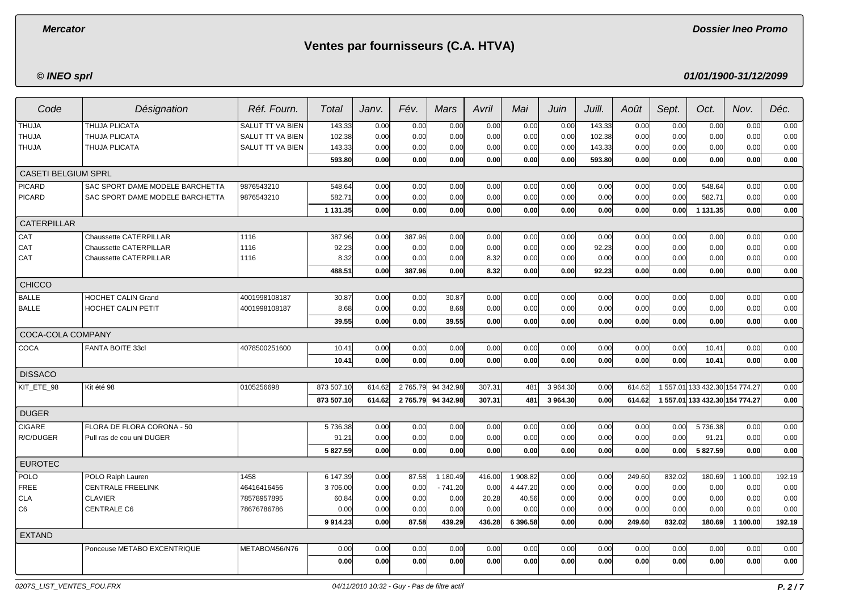**Dossier Ineo Promo**

# **Ventes par fournisseurs (C.A. HTVA)**

## **© INEO sprl**

| Code                       | Désignation                     | Réf. Fourn.      | Total             | Janv.  | Fév.     | Mars      | Avril  | Mai        | Juin     | Juill. | Août   | Sept.  | Oct.                           | Nov.     | Déc.   |
|----------------------------|---------------------------------|------------------|-------------------|--------|----------|-----------|--------|------------|----------|--------|--------|--------|--------------------------------|----------|--------|
| <b>THUJA</b>               | <b>THUJA PLICATA</b>            | SALUT TT VA BIEN | 143.33            | 0.00   | 0.00     | 0.00      | 0.00   | 0.00       | 0.00     | 143.33 | 0.00   | 0.00   | 0.00                           | 0.00     | 0.00   |
| <b>THUJA</b>               | <b>THUJA PLICATA</b>            | SALUT TT VA BIEN | 102.38            | 0.00   | 0.00     | 0.00      | 0.00   | 0.00       | 0.00     | 102.38 | 0.00   | 0.00   | 0.00                           | 0.00     | 0.00   |
| <b>THUJA</b>               | THUJA PLICATA                   | SALUT TT VA BIEN | 143.33            | 0.00   | 0.00     | 0.00      | 0.00   | 0.00       | 0.00     | 143.33 | 0.00   | 0.00   | 0.00                           | 0.00     | 0.00   |
|                            |                                 |                  | 593.80            | 0.00   | 0.00     | 0.00      | 0.00   | 0.00       | 0.00     | 593.80 | 0.00   | 0.00   | 0.00                           | 0.00     | 0.00   |
| <b>CASETI BELGIUM SPRL</b> |                                 |                  |                   |        |          |           |        |            |          |        |        |        |                                |          |        |
| <b>PICARD</b>              | SAC SPORT DAME MODELE BARCHETTA | 9876543210       | 548.64            | 0.00   | 0.00     | 0.00      | 0.00   | 0.00       | 0.00     | 0.00   | 0.00   | 0.00   | 548.64                         | 0.00     | 0.00   |
| <b>PICARD</b>              | SAC SPORT DAME MODELE BARCHETTA | 9876543210       | 582.71            | 0.00   | 0.00     | 0.00      | 0.00   | 0.00       | 0.00     | 0.00   | 0.00   | 0.00   | 582.71                         | 0.00     | 0.00   |
|                            |                                 |                  | 1 131.35          | 0.00   | 0.00     | 0.00      | 0.00   | 0.00       | 0.00     | 0.00   | 0.00   | 0.00   | 1 131.35                       | 0.00     | 0.00   |
| <b>CATERPILLAR</b>         |                                 |                  |                   |        |          |           |        |            |          |        |        |        |                                |          |        |
| CAT                        | Chaussette CATERPILLAR          | 1116             | 387.96            | 0.00   | 387.96   | 0.00      | 0.00   | 0.00       | 0.00     | 0.00   | 0.00   | 0.00   | 0.00                           | 0.00     | 0.00   |
| CAT                        | <b>Chaussette CATERPILLAR</b>   | 1116             | 92.23             | 0.00   | 0.00     | 0.00      | 0.00   | 0.00       | 0.00     | 92.23  | 0.00   | 0.00   | 0.00                           | 0.00     | 0.00   |
| CAT                        | Chaussette CATERPILLAR          | 1116             | 8.32              | 0.00   | 0.00     | 0.00      | 8.32   | 0.00       | 0.00     | 0.00   | 0.00   | 0.00   | 0.00                           | 0.00     | 0.00   |
|                            |                                 |                  | 488.51            | 0.00   | 387.96   | 0.00      | 8.32   | 0.00       | 0.00     | 92.23  | 0.00   | 0.00   | 0.00                           | 0.00     | 0.00   |
| <b>CHICCO</b>              |                                 |                  |                   |        |          |           |        |            |          |        |        |        |                                |          |        |
| <b>BALLE</b>               | <b>HOCHET CALIN Grand</b>       | 4001998108187    | 30.87             | 0.00   | 0.00     | 30.87     | 0.00   | 0.00       | 0.00     | 0.00   | 0.00   | 0.00   | 0.00                           | 0.00     | 0.00   |
| <b>BALLE</b>               | HOCHET CALIN PETIT              | 4001998108187    | 8.68              | 0.00   | 0.00     | 8.68      | 0.00   | 0.00       | 0.00     | 0.00   | 0.00   | 0.00   | 0.00                           | 0.00     | 0.00   |
|                            |                                 |                  | 39.55             | 0.00   | 0.00     | 39.55     | 0.00   | 0.00       | 0.00     | 0.00   | 0.00   | 0.00   | 0.00                           | 0.00     | 0.00   |
| COCA-COLA COMPANY          |                                 |                  |                   |        |          |           |        |            |          |        |        |        |                                |          |        |
| COCA                       | FANTA BOITE 33cl                | 4078500251600    | 10.41             | 0.00   | 0.00     | 0.00      | 0.00   | 0.00       | 0.00     | 0.00   | 0.00   | 0.00   | 10.41                          | 0.00     | 0.00   |
|                            |                                 |                  | 10.41             | 0.00   | 0.00     | 0.00      | 0.00   | 0.00       | 0.00     | 0.00   | 0.00   | 0.00   | 10.41                          | 0.00     | 0.00   |
| <b>DISSACO</b>             |                                 |                  |                   |        |          |           |        |            |          |        |        |        |                                |          |        |
| KIT ETE 98                 | Kit été 98                      | 0105256698       | 873 507.10        | 614.62 | 2765.79  | 94 342.98 | 307.31 | 481        | 3 964.30 | 0.00   | 614.62 |        | 1 557.01 133 432.30 154 774.27 |          | 0.00   |
|                            |                                 |                  | 873 507.10        | 614.62 | 2 765.79 | 94 342.98 | 307.31 | 481        | 3 964.30 | 0.00   | 614.62 |        | 1 557.01 133 432.30 154 774.27 |          | 0.00   |
| <b>DUGER</b>               |                                 |                  |                   |        |          |           |        |            |          |        |        |        |                                |          |        |
| <b>CIGARE</b>              | FLORA DE FLORA CORONA - 50      |                  | 5 736.38          | 0.00   | 0.00     | 0.00      | 0.00   | 0.00       | 0.00     | 0.00   | 0.00   | 0.00   | 5 736.38                       | 0.00     | 0.00   |
| R/C/DUGER                  | Pull ras de cou uni DUGER       |                  | 91.21             | 0.00   | 0.00     | 0.00      | 0.00   | 0.00       | 0.00     | 0.00   | 0.00   | 0.00   | 91.21                          | 0.00     | 0.00   |
|                            |                                 |                  | 5 827.59          | 0.00   | 0.00     | 0.00      | 0.00   | 0.00       | 0.00     | 0.00   | 0.00   | 0.00   | 5 827.59                       | 0.00     | 0.00   |
| <b>EUROTEC</b>             |                                 |                  |                   |        |          |           |        |            |          |        |        |        |                                |          |        |
| POLO                       | POLO Ralph Lauren               | 1458             | 6 147.39          | 0.00   | 87.58    | 1 180.49  | 416.00 | 1 908.82   | 0.00     | 0.00   | 249.60 | 832.02 | 180.69                         | 1 100.00 | 192.19 |
| <b>FREE</b>                | <b>CENTRALE FREELINK</b>        | 46416416456      | 3706.00           | 0.00   | 0.00     | $-741.20$ | 0.00   | 4 4 4 7.20 | 0.00     | 0.00   | 0.00   | 0.00   | 0.00                           | 0.00     | 0.00   |
| <b>CLA</b>                 | <b>CLAVIER</b>                  | 78578957895      | 60.84             | 0.00   | 0.00     | 0.00      | 20.28  | 40.56      | 0.00     | 0.00   | 0.00   | 0.00   | 0.00                           | 0.00     | 0.00   |
| C <sub>6</sub>             | <b>CENTRALE C6</b>              | 78676786786      | 0.00              | 0.00   | 0.00     | 0.00      | 0.00   | 0.00       | 0.00     | 0.00   | 0.00   | 0.00   | 0.00                           | 0.00     | 0.00   |
|                            |                                 |                  | 9 9 14.23         | 0.00   | 87.58    | 439.29    | 436.28 | 6 39 6.58  | 0.00     | 0.00   | 249.60 | 832.02 | 180.69                         | 1 100.00 | 192.19 |
| <b>EXTAND</b>              |                                 |                  |                   |        |          |           |        |            |          |        |        |        |                                |          |        |
|                            | Ponceuse METABO EXCENTRIQUE     | METABO/456/N76   | 0.00              | 0.00   | 0.00     | 0.00      | 0.00   | 0.00       | 0.00     | 0.00   | 0.00   | 0.00   | 0.00                           | 0.00     | 0.00   |
|                            |                                 |                  | 0.00 <sub>l</sub> | 0.00   | 0.00     | 0.00      | 0.00   | 0.00       | 0.00     | 0.00   | 0.00   | 0.00   | 0.00                           | 0.00     | 0.00   |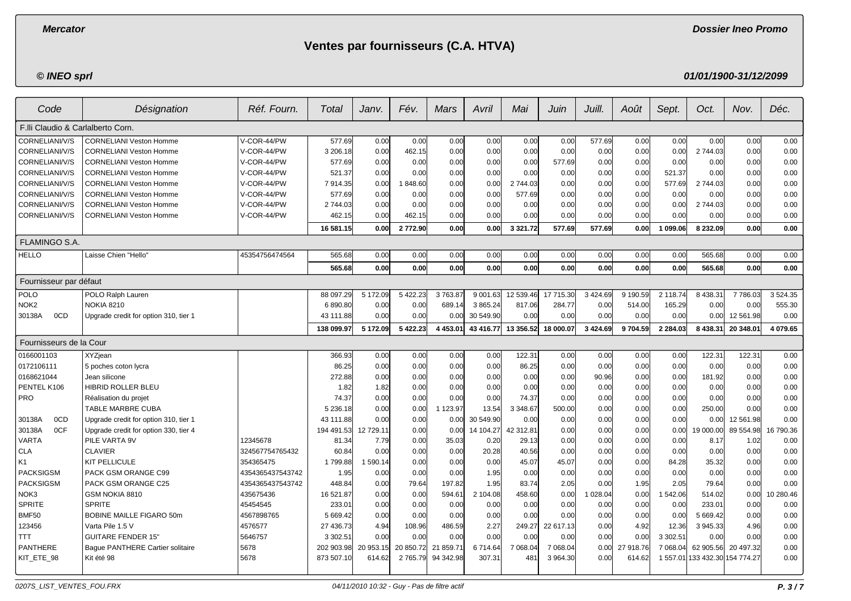**Dossier Ineo Promo**

# **Ventes par fournisseurs (C.A. HTVA)**

**© INEO sprl**

| Code                              | Désignation                           | Réf. Fourn.      | Total      | Janv.     | Fév.          | <b>Mars</b>   | Avril     | Mai           | Juin      | Juill.        | Août      | Sept.         | Oct.                           | Nov.      | Déc.      |
|-----------------------------------|---------------------------------------|------------------|------------|-----------|---------------|---------------|-----------|---------------|-----------|---------------|-----------|---------------|--------------------------------|-----------|-----------|
| F.Ili Claudio & Carlalberto Corn. |                                       |                  |            |           |               |               |           |               |           |               |           |               |                                |           |           |
| CORNELIANI/V/S                    | <b>CORNELIANI Veston Homme</b>        | V-COR-44/PW      | 577.69     | 0.00      | 0.00          | 0.00          | 0.00      | 0.00          | 0.00      | 577.69        | 0.00      | 0.00          | 0.00                           | 0.00      | 0.00      |
| CORNELIANI/V/S                    | <b>CORNELIANI Veston Homme</b>        | V-COR-44/PW      | 3 206.18   | 0.00      | 462.15        | 0.00          | 0.00      | 0.00          | 0.00      | 0.00          | 0.00      | 0.00          | 2 744.03                       | 0.00      | 0.00      |
| CORNELIANI/V/S                    | <b>CORNELIANI Veston Homme</b>        | V-COR-44/PW      | 577.69     | 0.00      | 0.00          | 0.00          | 0.00      | 0.00          | 577.69    | 0.00          | 0.00      | 0.00          | 0.00                           | 0.00      | 0.00      |
| CORNELIANI/V/S                    | <b>CORNELIANI Veston Homme</b>        | V-COR-44/PW      | 521.37     | 0.00      | 0.00          | 0.00          | 0.00      | 0.00          | 0.00      | 0.00          | 0.00      | 521.37        | 0.00                           | 0.00      | 0.00      |
| CORNELIANI/V/S                    | <b>CORNELIANI Veston Homme</b>        | V-COR-44/PW      | 7 914.35   | 0.00      | 1848.60       | 0.00          | 0.00      | 2744.03       | 0.00      | 0.00          | 0.00      | 577.69        | 2 744.03                       | 0.00      | 0.00      |
| CORNELIANI/V/S                    | <b>CORNELIANI Veston Homme</b>        | V-COR-44/PW      | 577.69     | 0.00      | 0.00          | 0.00          | 0.00      | 577.69        | 0.00      | 0.00          | 0.00      | 0.00          | 0.00                           | 0.00      | 0.00      |
| CORNELIANI/V/S                    | <b>CORNELIANI Veston Homme</b>        | V-COR-44/PW      | 2744.03    | 0.00      | 0.00          | 0.00          | 0.00      | 0.00          | 0.00      | 0.00          | 0.00      | 0.00          | 2 744.03                       | 0.00      | 0.00      |
| CORNELIANI/V/S                    | <b>CORNELIANI Veston Homme</b>        | V-COR-44/PW      | 462.15     | 0.00      | 462.15        | 0.00          | 0.00      | 0.00          | 0.00      | 0.00          | 0.00      | 0.00          | 0.00                           | 0.00      | 0.00      |
|                                   |                                       |                  | 16 581.15  | 0.00      | 2772.90       | 0.00          | 0.00      | 3 3 2 1 . 7 2 | 577.69    | 577.69        | 0.00      | 1 099.06      | 8 232.09                       | 0.00      | 0.00      |
| <b>FLAMINGO S.A.</b>              |                                       |                  |            |           |               |               |           |               |           |               |           |               |                                |           |           |
| <b>HELLO</b>                      | Laisse Chien "Hello"                  | 45354756474564   | 565.68     | 0.00      | 0.00          | 0.00          | 0.00      | 0.00          | 0.00      | 0.00          | 0.00      | 0.00          | 565.68                         | 0.00      | 0.00      |
|                                   |                                       |                  | 565.68     | 0.00      | 0.00          | 0.00          | 0.00      | 0.00          | 0.00      | 0.00          | 0.00      | 0.00          | 565.68                         | 0.00      | 0.00      |
| Fournisseur par défaut            |                                       |                  |            |           |               |               |           |               |           |               |           |               |                                |           |           |
| POLO                              | POLO Ralph Lauren                     |                  | 88 097.29  | 5 172.09  | 5 422.23      | 3763.87       | 9 001.63  | 12 539.46     | 17 715.30 | 3 4 2 4 .69   | 9 190.59  | 2 118.74      | 8 4 38.3                       | 7786.03   | 3 5 24.35 |
| NOK <sub>2</sub>                  | NOKIA 8210                            |                  | 6890.80    | 0.00      | 0.00          | 689.14        | 3 865.24  | 817.06        | 284.77    | 0.00          | 514.00    | 165.29        | 0.00                           | 0.00      | 555.30    |
| 0CD<br>30138A                     | Upgrade credit for option 310, tier 1 |                  | 43 111.88  | 0.00      | 0.00          | 0.00          | 30 549.90 | 0.00          | 0.00      | 0.00          | 0.00      | 0.00          | 0.00                           | 12 561.98 | 0.00      |
|                                   |                                       |                  | 138 099.97 | 5 172.09  | 5 422.23      | 4 4 5 3 . 0 1 | 43 416.77 | 13 356.52     | 18 000.07 | 3 4 2 4 . 6 9 | 9704.59   | 2 2 8 4 . 0 3 | 8 4 38.31                      | 20 348.01 | 4 079.65  |
| Fournisseurs de la Cour           |                                       |                  |            |           |               |               |           |               |           |               |           |               |                                |           |           |
| 0166001103                        | XYZjean                               |                  | 366.93     | 0.00      | 0.00          | 0.00          | 0.00      | 122.31        | 0.00      | 0.00          | 0.00      | 0.00          | 122.3'                         | 122.31    | 0.00      |
| 0172106111                        | 5 poches coton lycra                  |                  | 86.25      | 0.00      | 0.00          | 0.00          | 0.00      | 86.25         | 0.00      | 0.00          | 0.00      | 0.00          | 0.00                           | 0.00      | 0.00      |
| 0168621044                        | Jean silicone                         |                  | 272.88     | 0.00      | 0.00          | 0.00          | 0.00      | 0.00          | 0.00      | 90.96         | 0.00      | 0.00          | 181.92                         | 0.00      | 0.00      |
| PENTEL K106                       | <b>HIBRID ROLLER BLEU</b>             |                  | 1.82       | 1.82      | 0.00          | 0.00          | 0.00      | 0.00          | 0.00      | 0.00          | 0.00      | 0.00          | 0.00                           | 0.00      | 0.00      |
| PRO                               | Réalisation du projet                 |                  | 74.37      | 0.00      | 0.00          | 0.00          | 0.00      | 74.37         | 0.00      | 0.00          | 0.00      | 0.00          | 0.00                           | 0.00      | 0.00      |
|                                   | TABLE MARBRE CUBA                     |                  | 5 236.18   | 0.00      | 0.00          | 1 123.97      | 13.54     | 3 3 48.67     | 500.00    | 0.00          | 0.00      | 0.00          | 250.00                         | 0.00      | 0.00      |
| 0CD<br>30138A                     | Upgrade credit for option 310, tier 1 |                  | 43 111.88  | 0.00      | 0.00          | 0.00          | 30 549.90 | 0.00          | 0.00      | 0.00          | 0.00      | 0.00          | 0.00                           | 12 561.98 | 0.00      |
| 0CF<br>30138A                     | Upgrade credit for option 330, tier 4 |                  | 194 491.53 | 12 729.11 | 0.00          | 0.00          | 14 104.27 | 42 312.81     | 0.00      | 0.00          | 0.00      | 0.00          | 19 000.00                      | 89 554.98 | 16 790.36 |
| <b>VARTA</b>                      | PILE VARTA 9V                         | 12345678         | 81.34      | 7.79      | 0.00          | 35.03         | 0.20      | 29.13         | 0.00      | 0.00          | 0.00      | 0.00          | 8.17                           | 1.02      | 0.00      |
| <b>CLA</b>                        | <b>CLAVIER</b>                        | 324567754765432  | 60.84      | 0.00      | 0.00          | 0.00          | 20.28     | 40.56         | 0.00      | 0.00          | 0.00      | 0.00          | 0.00                           | 0.00      | 0.00      |
| K <sub>1</sub>                    | <b>KIT PELLICULE</b>                  | 354365475        | 1799.88    | 1 590.14  | 0.00          | 0.00          | 0.00      | 45.07         | 45.07     | 0.00          | 0.00      | 84.28         | 35.32                          | 0.00      | 0.00      |
| <b>PACKSIGSM</b>                  | <b>PACK GSM ORANGE C99</b>            | 4354365437543742 | 1.95       | 0.00      | 0.00          | 0.00          | 1.95      | 0.00          | 0.00      | 0.00          | 0.00      | 0.00          | 0.00                           | 0.00      | 0.00      |
| <b>PACKSIGSM</b>                  | PACK GSM ORANGE C25                   | 4354365437543742 | 448.84     | 0.00      | 79.64         | 197.82        | 1.95      | 83.74         | 2.05      | 0.00          | 1.95      | 2.05          | 79.64                          | 0.00      | 0.00      |
| NOK3                              | <b>GSM NOKIA 8810</b>                 | 435675436        | 16 521.87  | 0.00      | 0.00          | 594.61        | 2 104.08  | 458.60        | 0.00      | 1 028.04      | 0.00      | 1 542.06      | 514.02                         | 0.00      | 10 280.46 |
| <b>SPRITE</b>                     | <b>SPRITE</b>                         | 45454545         | 233.01     | 0.00      | 0.00          | 0.00          | 0.00      | 0.00          | 0.00      | 0.00          | 0.00      | 0.00          | 233.01                         | 0.00      | 0.00      |
| BMF50                             | <b>BOBINE MAILLE FIGARO 50m</b>       | 4567898765       | 5 669.42   | 0.00      | 0.00          | 0.00          | 0.00      | 0.00          | 0.00      | 0.00          | 0.00      | 0.00          | 5 669.42                       | 0.00      | 0.00      |
| 123456                            | Varta Pile 1.5 V                      | 4576577          | 27 436.73  | 4.94      | 108.96        | 486.59        | 2.27      | 249.27        | 22 617.13 | 0.00          | 4.92      | 12.36         | 3 945.33                       | 4.96      | 0.00      |
| <b>TTT</b>                        | <b>GUITARE FENDER 15"</b>             | 5646757          | 3 302.51   | 0.00      | 0.00          | 0.00          | 0.00      | 0.00          | 0.00      | 0.00          | 0.00      | 3 302.51      | 0.00                           | 0.00      | 0.00      |
| <b>PANTHERE</b>                   | Bague PANTHERE Cartier solitaire      | 5678             | 202 903.98 | 20 953.15 | 20 850.72     | 21 859.71     | 6714.64   | 7 068.04      | 7 068.04  | 0.00          | 27 918.76 | 7 068.04      | 62 905.56                      | 20 497.32 | 0.00      |
| KIT_ETE_98                        | Kit été 98                            | 5678             | 873 507.10 | 614.62    | 2 7 6 5 . 7 9 | 94 342.98     | 307.31    | 481           | 3 964.30  | 0.00          | 614.62    |               | 1 557.01 133 432.30 154 774.27 |           | 0.00      |
|                                   |                                       |                  |            |           |               |               |           |               |           |               |           |               |                                |           |           |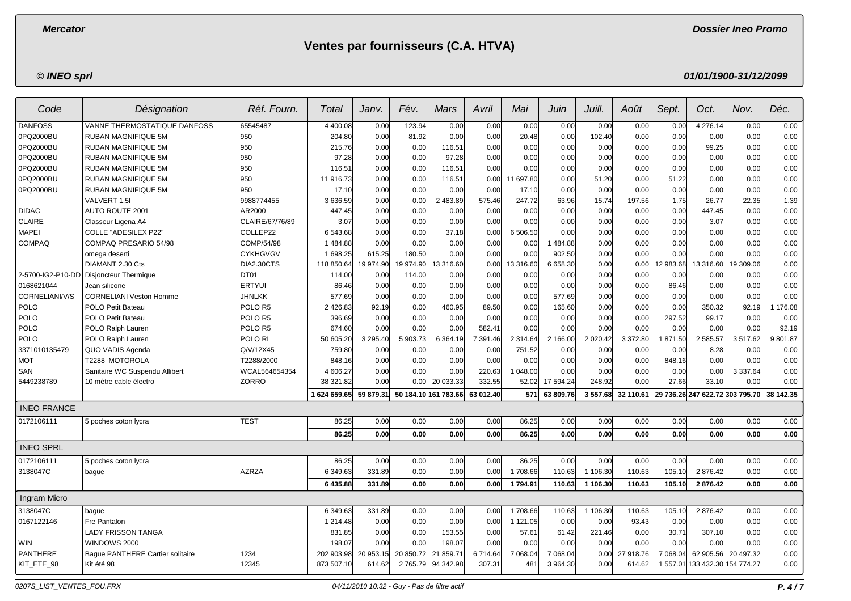**Dossier Ineo Promo**

# **Ventes par fournisseurs (C.A. HTVA)**

## **© INEO sprl**

| Code               | Désignation                             | Réf. Fourn.        | Total         | Janv.       | Fév.      | Mars                 | Avril     | Mai             | Juin      | Juill.     | Août      | Sept.     | Oct.                            | Nov.          | Déc.      |
|--------------------|-----------------------------------------|--------------------|---------------|-------------|-----------|----------------------|-----------|-----------------|-----------|------------|-----------|-----------|---------------------------------|---------------|-----------|
| <b>DANFOSS</b>     | VANNE THERMOSTATIQUE DANFOSS            | 65545487           | 4 400.08      | 0.00        | 123.94    | 0.00                 | 0.00      | 0.00            | 0.00      | 0.00       | 0.00      | 0.00      | 4 276.14                        | 0.00          | 0.00      |
| 0PQ2000BU          | RUBAN MAGNIFIQUE 5M                     | 950                | 204.80        | 0.00        | 81.92     | 0.00                 | 0.00      | 20.48           | 0.00      | 102.40     | 0.00      | 0.00      | 0.00                            | 0.00          | 0.00      |
| 0PQ2000BU          | <b>RUBAN MAGNIFIQUE 5M</b>              | 950                | 215.76        | 0.00        | 0.00      | 116.51               | 0.00      | 0.00            | 0.00      | 0.00       | 0.00      | 0.00      | 99.25                           | 0.00          | 0.00      |
| 0PQ2000BU          | <b>RUBAN MAGNIFIQUE 5M</b>              | 950                | 97.28         | 0.00        | 0.00      | 97.28                | 0.00      | 0.00            | 0.00      | 0.00       | 0.00      | 0.00      | 0.00                            | 0.00          | 0.00      |
| 0PQ2000BU          | <b>RUBAN MAGNIFIQUE 5M</b>              | 950                | 116.51        | 0.00        | 0.00      | 116.51               | 0.00      | 0.00            | 0.00      | 0.00       | 0.00      | 0.00      | 0.00                            | 0.00          | 0.00      |
| 0PQ2000BU          | <b>RUBAN MAGNIFIQUE 5M</b>              | 950                | 11 916.73     | 0.00        | 0.00      | 116.51               | 0.00      | 11 697.80       | 0.00      | 51.20      | 0.00      | 51.22     | 0.00                            | 0.00          | 0.00      |
| 0PQ2000BU          | <b>RUBAN MAGNIFIQUE 5M</b>              | 950                | 17.10         | 0.00        | 0.00      | 0.00                 | 0.00      | 17.10           | 0.00      | 0.00       | 0.00      | 0.00      | 0.00                            | 0.00          | 0.00      |
|                    | VALVERT 1,5I                            | 9988774455         | 3 636.59      | 0.00        | 0.00      | 2 483.89             | 575.46    | 247.72          | 63.96     | 15.74      | 197.56    | 1.75      | 26.77                           | 22.35         | 1.39      |
| <b>DIDAC</b>       | <b>AUTO ROUTE 2001</b>                  | AR2000             | 447.45        | 0.00        | 0.00      | 0.00                 | 0.00      | 0.00            | 0.00      | 0.00       | 0.00      | 0.00      | 447.45                          | 0.00          | 0.00      |
| <b>CLAIRE</b>      | Classeur Ligena A4                      | CLAIRE/67/76/89    | 3.07          | 0.00        | 0.00      | 0.00                 | 0.00      | 0.00            | 0.00      | 0.00       | 0.00      | 0.00      | 3.07                            | 0.00          | 0.00      |
| <b>MAPEI</b>       | <b>COLLE "ADESILEX P22"</b>             | COLLEP22           | 6 543.68      | 0.00        | 0.00      | 37.18                | 0.00      | 6 506.50        | 0.00      | 0.00       | 0.00      | 0.00      | 0.00                            | 0.00          | 0.00      |
| <b>COMPAQ</b>      | COMPAQ PRESARIO 54/98                   | COMP/54/98         | 1484.88       | 0.00        | 0.00      | 0.00                 | 0.00      | 0.00            | 484.88    | 0.00       | 0.00      | 0.00      | 0.00                            | 0.00          | 0.00      |
|                    | omega deserti                           | <b>CYKHGVGV</b>    | 1 698.25      | 615.25      | 180.50    | 0.00                 | 0.00      | 0.00            | 902.50    | 0.00       | 0.00      | 0.00      | 0.00                            | 0.00          | 0.00      |
|                    | DIAMANT 2.30 Cts                        | DIA2.30CTS         | 118 850.64    | 19 974.90   | 19 974.90 | 13 316.60            | 0.00      | 13 316.60       | 6 658.30  | 0.00       | 0.00      | 12 983.68 | 13 316.60                       | 19 309.06     | 0.00      |
| 2-5700-IG2-P10-DD  | Disjoncteur Thermique                   | DT01               | 114.00        | 0.00        | 114.00    | 0.00                 | 0.00      | 0.00            | 0.00      | 0.00       | 0.00      | 0.00      | 0.00                            | 0.00          | 0.00      |
| 0168621044         | Jean silicone                           | <b>ERTYUI</b>      | 86.46         | 0.00        | 0.00      | 0.00                 | 0.00      | 0.00            | 0.00      | 0.00       | 0.00      | 86.46     | 0.00                            | 0.00          | 0.00      |
| CORNELIANI/V/S     | <b>CORNELIANI Veston Homme</b>          | <b>JHNLKK</b>      | 577.69        | 0.00        | 0.00      | 0.00                 | 0.00      | 0.00            | 577.69    | 0.00       | 0.00      | 0.00      | 0.00                            | 0.00          | 0.00      |
| <b>POLO</b>        | POLO Petit Bateau                       | POLO <sub>R5</sub> | 2 4 2 6 . 8 3 | 92.19       | 0.00      | 460.95               | 89.50     | 0.00            | 165.60    | 0.00       | 0.00      | 0.00      | 350.32                          | 92.19         | 1 176.08  |
| POLO               | POLO Petit Bateau                       | POLO <sub>R5</sub> | 396.69        | 0.00        | 0.00      | 0.00                 | 0.00      | 0.00            | 0.00      | 0.00       | 0.00      | 297.52    | 99.17                           | 0.00          | 0.00      |
| <b>POLO</b>        | POLO Ralph Lauren                       | POLO <sub>R5</sub> | 674.60        | 0.00        | 0.00      | 0.00                 | 582.41    | 0.00            | 0.00      | 0.00       | 0.00      | 0.00      | 0.00                            | 0.00          | 92.19     |
| <b>POLO</b>        | POLO Ralph Lauren                       | POLO RL            | 50 605.20     | 3 2 9 5 4 0 | 5 903.73  | 6 3 64.19            | 7 391.46  | 2 3 1 4 . 6 4   | 2 166.00  | 2 0 2 0.42 | 3 372.80  | 1871.50   | 2 585.57                        | 3517.62       | 9801.87   |
| 3371010135479      | QUO VADIS Agenda                        | Q/V/12X45          | 759.80        | 0.00        | 0.00      | 0.00                 | 0.00      | 751.52          | 0.00      | 0.00       | 0.00      | 0.00      | 8.28                            | 0.00          | 0.00      |
| <b>MOT</b>         | T2288 MOTOROLA                          | T2288/2000         | 848.16        | 0.00        | 0.00      | 0.00                 | 0.00      | 0.00            | 0.00      | 0.00       | 0.00      | 848.16    | 0.00                            | 0.00          | 0.00      |
| SAN                | Sanitaire WC Suspendu Allibert          | WCAL564654354      | 4 606.27      | 0.00        | 0.00      | 0.00                 | 220.63    | 1 048.00        | 0.00      | 0.00       | 0.00      | 0.00      | 0.00                            | 3 3 3 7 . 6 4 | 0.00      |
| 5449238789         | 10 mètre cable électro                  | ZORRO              | 38 321.82     | 0.00        | 0.00      | 20 033.33            | 332.55    | 52.02           | 17 594.24 | 248.92     | 0.00      | 27.66     | 33.10                           | 0.00          | 0.00      |
|                    |                                         |                    | 1 624 659.65  | 59 879.31   |           | 50 184.10 161 783.66 | 63 012.40 | 571             | 63 809.76 | 3 557.68   | 32 110.61 |           | 29 736.26 247 622.72 303 795.70 |               | 38 142.35 |
| <b>INEO FRANCE</b> |                                         |                    |               |             |           |                      |           |                 |           |            |           |           |                                 |               |           |
| 0172106111         | 5 poches coton lycra                    | <b>TEST</b>        | 86.25         | 0.00        | 0.00      | 0.00                 | 0.00      | 86.25           | 0.00      | 0.00       | 0.00      | 0.00      | 0.00                            | 0.00          | 0.00      |
|                    |                                         |                    | 86.25         | 0.00        | 0.00      | 0.00                 | 0.00      | 86.25           | 0.00      | 0.00       | 0.00      | 0.00      | 0.00                            | 0.00          | 0.00      |
| <b>INEO SPRL</b>   |                                         |                    |               |             |           |                      |           |                 |           |            |           |           |                                 |               |           |
| 0172106111         | 5 poches coton lycra                    |                    | 86.25         | 0.00        | 0.00      | 0.00                 | 0.00      | 86.25           | 0.00      | 0.00       | 0.00      | 0.00      | 0.00                            | 0.00          | 0.00      |
| 3138047C           | baque                                   | <b>AZRZA</b>       | 6 349.63      | 331.89      | 0.00      | 0.00                 | 0.00      | 1708.66         | 110.63    | 1 106.30   | 110.63    | 105.10    | 2 876.42                        | 0.00          | 0.00      |
|                    |                                         |                    | 6435.88       | 331.89      | 0.00      | 0.00                 | 0.00      | 1794.91         | 110.63    | 1 106.30   | 110.63    | 105.10    | 2876.42                         | 0.00          | 0.00      |
| Ingram Micro       |                                         |                    |               |             |           |                      |           |                 |           |            |           |           |                                 |               |           |
| 3138047C           | bague                                   |                    | 6 349.63      | 331.89      | 0.00      | 0.00                 | 0.00      | 1708.66         | 110.63    | 1 106.30   | 110.63    | 105.10    | 2 876.42                        | 0.00          | 0.00      |
| 0167122146         | Fre Pantalon                            |                    | 1 214.48      | 0.00        | 0.00      | 0.00                 | 0.00      | 1 121.05        | 0.00      | 0.00       | 93.43     | 0.00      | 0.00                            | 0.00          | 0.00      |
|                    | <b>LADY FRISSON TANGA</b>               |                    | 831.85        | 0.00        | 0.00      | 153.55               | 0.00      | 57.61           | 61.42     | 221.46     | 0.00      | 30.71     | 307.10                          | 0.00          | 0.00      |
| WIN                | WINDOWS 2000                            |                    | 198.07        | 0.00        | 0.00      | 198.07               | 0.00      | 0.00            | 0.00      | 0.00       | 0.00      | 0.00      | 0.00                            | 0.00          | 0.00      |
| <b>PANTHERE</b>    | <b>Baque PANTHERE Cartier solitaire</b> | 1234               | 202 903.98    | 20 953.15   | 20 850.72 | 859.71<br>21         | 6714.64   | 7 068.04        | 7 068.04  | 0.00       | 27 918.76 | 7 068.04  | 62 905.56                       | 20 497.32     | 0.00      |
| KIT_ETE_98         | Kit été 98                              | 12345              | 873 507.10    | 614.62      | 2 765.79  | 94 342.98            | 307.31    | 48 <sup>°</sup> | 3 964.30  | 0.00       | 614.62    | 1 557.01  | 133 432.30 154 774.27           |               | 0.00      |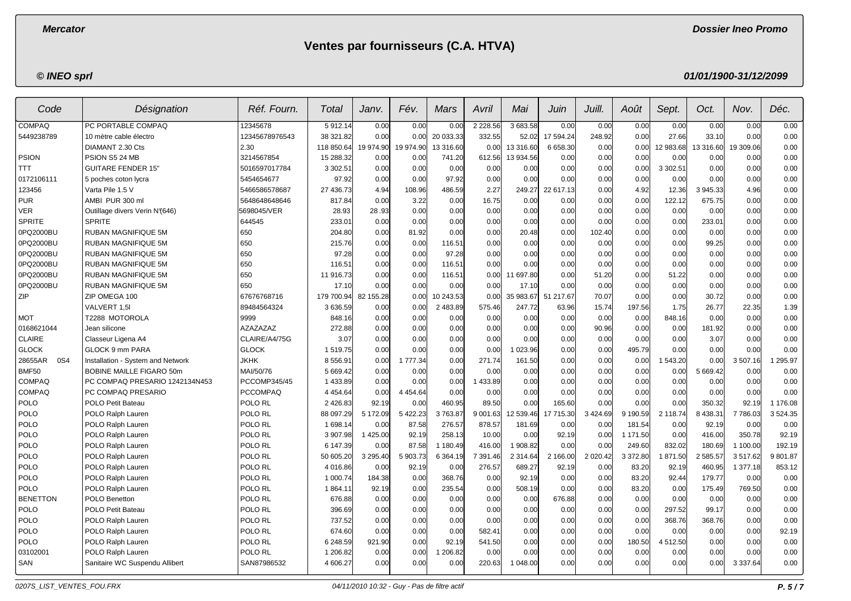**Dossier Ineo Promo**

# **Ventes par fournisseurs (C.A. HTVA)**

## **© INEO sprl**

| Code            | Désignation                       | Réf. Fourn.         | Total         | Janv.         | Fév.        | Mars      | Avril      | Mai           | Juin      | Juill.      | Août     | Sept.      | Oct.      | Nov.          | Déc.     |
|-----------------|-----------------------------------|---------------------|---------------|---------------|-------------|-----------|------------|---------------|-----------|-------------|----------|------------|-----------|---------------|----------|
| <b>COMPAQ</b>   | PC PORTABLE COMPAQ                | 12345678            | 5912.14       | 0.00          | 0.00        | 0.00      | 2 2 2 8.56 | 3 683.58      | 0.00      | 0.00        | 0.00     | 0.00       | 0.00      | 0.00          | 0.00     |
| 5449238789      | 10 mètre cable électro            | 12345678976543      | 38 321.82     | 0.00          | 0.00        | 20 033.33 | 332.55     | 52.02         | 17 594.24 | 248.92      | 0.00     | 27.66      | 33.10     | 0.00          | 0.00     |
|                 | DIAMANT 2.30 Cts                  | 2.30                | 118 850.64    | 19 974.90     | 19 974.90   | 13 316.60 | 0.00       | 13 316.60     | 6 658.30  | 0.00        | 0.00     | 12 983.68  | 13 316.60 | 19 309.06     | 0.00     |
| <b>PSION</b>    | PSION S5 24 MB                    | 3214567854          | 15 288.32     | 0.00          | 0.00        | 741.20    | 612.56     | 13 934.56     | 0.00      | 0.00        | 0.00     | 0.00       | 0.00      | 0.00          | 0.00     |
| TTT             | <b>GUITARE FENDER 15'</b>         | 5016597017784       | 3 3 0 2.51    | 0.00          | 0.00        | 0.00      | 0.00       | 0.00          | 0.00      | 0.00        | 0.00     | 3 3 0 2.51 | 0.00      | 0.00          | 0.00     |
| 0172106111      | 5 poches coton lycra              | 5454654677          | 97.92         | 0.00          | 0.00        | 97.92     | 0.00       | 0.00          | 0.00      | 0.00        | 0.00     | 0.00       | 0.00      | 0.00          | 0.00     |
| 123456          | Varta Pile 1.5 V                  | 5466586578687       | 27 436.73     | 4.94          | 108.96      | 486.59    | 2.27       | 249.27        | 22 617.13 | 0.00        | 4.92     | 12.36      | 3 945.33  | 4.96          | 0.00     |
| <b>PUR</b>      | AMBI PUR 300 ml                   | 5648648648646       | 817.84        | 0.00          | 3.22        | 0.00      | 16.75      | 0.00          | 0.00      | 0.00        | 0.00     | 122.12     | 675.75    | 0.00          | 0.00     |
| <b>VER</b>      | Outillage divers Verin N'(646)    | 5698045/VER         | 28.93         | 28.93         | 0.00        | 0.00      | 0.00       | 0.00          | 0.00      | 0.00        | 0.00     | 0.00       | 0.00      | 0.00          | 0.00     |
| <b>SPRITE</b>   | <b>SPRITE</b>                     | 644545              | 233.01        | 0.00          | 0.00        | 0.00      | 0.00       | 0.00          | 0.00      | 0.00        | 0.00     | 0.00       | 233.01    | 0.00          | 0.00     |
| 0PQ2000BU       | <b>RUBAN MAGNIFIQUE 5M</b>        | 650                 | 204.80        | 0.00          | 81.92       | 0.00      | 0.00       | 20.48         | 0.00      | 102.40      | 0.00     | 0.00       | 0.00      | 0.00          | 0.00     |
| 0PQ2000BU       | RUBAN MAGNIFIQUE 5M               | 650                 | 215.76        | 0.00          | 0.00        | 116.51    | 0.00       | 0.00          | 0.00      | 0.00        | 0.00     | 0.00       | 99.25     | 0.00          | 0.00     |
| 0PQ2000BU       | <b>RUBAN MAGNIFIQUE 5M</b>        | 650                 | 97.28         | 0.00          | 0.00        | 97.28     | 0.00       | 0.00          | 0.00      | 0.00        | 0.00     | 0.00       | 0.00      | 0.00          | 0.00     |
| 0PQ2000BU       | RUBAN MAGNIFIQUE 5M               | 650                 | 116.51        | 0.00          | 0.00        | 116.51    | 0.00       | 0.00          | 0.00      | 0.00        | 0.00     | 0.00       | 0.00      | 0.00          | 0.00     |
| 0PQ2000BU       | <b>RUBAN MAGNIFIQUE 5M</b>        | 650                 | 11 916.73     | 0.00          | 0.00        | 116.51    | 0.00       | 11 697.80     | 0.00      | 51.20       | 0.00     | 51.22      | 0.00      | 0.00          | 0.00     |
| 0PQ2000BU       | <b>RUBAN MAGNIFIQUE 5M</b>        | 650                 | 17.10         | 0.00          | 0.00        | 0.00      | 0.00       | 17.10         | 0.00      | 0.00        | 0.00     | 0.00       | 0.00      | 0.00          | 0.00     |
| ZIP             | ZIP OMEGA 100                     | 67676768716         | 179 700.94    | 82 155.28     | 0.00        | 10 243.53 | 0.00       | 35 983.67     | 51 217.67 | 70.07       | 0.00     | 0.00       | 30.72     | 0.00          | 0.00     |
|                 | VALVERT 1.5I                      | 89484564324         | 3 636 59      | 0.00          | 0.00        | 2 483.89  | 575.46     | 247.72        | 63.96     | 15.74       | 197.56   | 1.75       | 26.77     | 22.35         | 1.39     |
| <b>MOT</b>      | T2288 MOTOROLA                    | 9999                | 848.16        | 0.00          | 0.00        | 0.00      | 0.00       | 0.00          | 0.00      | 0.00        | 0.00     | 848.16     | 0.00      | 0.00          | 0.00     |
| 0168621044      | Jean silicone                     | <b>AZAZAZAZ</b>     | 272.88        | 0.00          | 0.00        | 0.00      | 0.00       | 0.00          | 0.00      | 90.96       | 0.00     | 0.00       | 181.92    | 0.00          | 0.00     |
| <b>CLAIRE</b>   | Classeur Ligena A4                | CLAIRE/A4/75G       | 3.07          | 0.00          | 0.00        | 0.00      | 0.00       | 0.00          | 0.00      | 0.00        | 0.00     | 0.00       | 3.07      | 0.00          | 0.00     |
| <b>GLOCK</b>    | <b>GLOCK 9 mm PARA</b>            | <b>GLOCK</b>        | 1 519.75      | 0.00          | 0.00        | 0.00      | 0.00       | 1 023.96      | 0.00      | 0.00        | 495.79   | 0.00       | 0.00      | 0.00          | 0.00     |
| 28655AR<br>0S4  | Installation - System and Network | <b>JKHK</b>         | 8 5 5 6.91    | 0.00          | 1 777.34    | 0.00      | 271.74     | 161.50        | 0.00      | 0.00        | 0.00     | 1543.20    | 0.00      | 3507.16       | 295.97   |
| <b>BMF50</b>    | <b>BOBINE MAILLE FIGARO 50m</b>   | MAI/50/76           | 5 669.42      | 0.00          | 0.00        | 0.00      | 0.00       | 0.00          | 0.00      | 0.00        | 0.00     | 0.00       | 5 669.42  | 0.00          | 0.00     |
| <b>COMPAQ</b>   | PC COMPAQ PRESARIO 1242134N453    | <b>PCCOMP345/45</b> | 1 433.89      | 0.00          | 0.00        | 0.00      | 433.89     | 0.00          | 0.00      | 0.00        | 0.00     | 0.00       | 0.00      | 0.00          | 0.00     |
| <b>COMPAQ</b>   | PC COMPAQ PRESARIO                | <b>PCCOMPAQ</b>     | 4 4 5 4 6 4   | 0.00          | 4 4 5 4 6 4 | 0.00      | 0.00       | 0.00          | 0.00      | 0.00        | 0.00     | 0.00       | 0.00      | 0.00          | 0.00     |
| <b>POLO</b>     | POLO Petit Bateau                 | POLO RL             | 2 4 2 6 . 8 3 | 92.19         | 0.00        | 460.95    | 89.50      | 0.00          | 165.60    | 0.00        | 0.00     | 0.00       | 350.32    | 92.19         | 1 176.08 |
| POLO            | POLO Ralph Lauren                 | POLO RL             | 88 097.29     | 5 172.09      | 5 4 2 2.23  | 3763.87   | 9 001.63   | 12 539.46     | 17 715.30 | 3 4 2 4 .69 | 9 190.59 | 2 118.74   | 8 438.31  | 7 786.03      | 3524.35  |
| POLO            | POLO Ralph Lauren                 | POLO RL             | 1 698.14      | 0.00          | 87.58       | 276.57    | 878.57     | 181.69        | 0.00      | 0.00        | 181.54   | 0.00       | 92.19     | 0.00          | 0.00     |
| <b>POLO</b>     | POLO Ralph Lauren                 | POLO RL             | 3 907.98      | 1 425.00      | 92.19       | 258.13    | 10.00      | 0.00          | 92.19     | 0.00        | 1 171.50 | 0.00       | 416.00    | 350.78        | 92.19    |
| <b>POLO</b>     | POLO Ralph Lauren                 | POLO RL             | 6 147.39      | 0.00          | 87.58       | 1 180.49  | 416.00     | 1 908.82      | 0.00      | 0.00        | 249.60   | 832.02     | 180.69    | 1 100.00      | 192.19   |
| <b>POLO</b>     | POLO Ralph Lauren                 | POLO RL             | 50 605.20     | 3 2 9 5 . 4 0 | 5 903.73    | 6 3 64.19 | 7 391.46   | 2 3 1 4 . 6 4 | 2 166.00  | 2 0 2 0.42  | 3 372.80 | 1871.50    | 2 585.57  | 3517.62       | 9801.87  |
| <b>POLO</b>     | POLO Ralph Lauren                 | POLO RL             | 4 016.86      | 0.00          | 92.19       | 0.00      | 276.57     | 689.27        | 92.19     | 0.00        | 83.20    | 92.19      | 460.95    | 1 377.18      | 853.12   |
| <b>POLO</b>     | POLO Ralph Lauren                 | POLO RL             | 1 000.74      | 184.38        | 0.00        | 368.76    | 0.00       | 92.19         | 0.00      | 0.00        | 83.20    | 92.44      | 179.77    | 0.00          | 0.00     |
| <b>POLO</b>     | POLO Ralph Lauren                 | POLO RL             | 1864.11       | 92.19         | 0.00        | 235.54    | 0.00       | 508.19        | 0.00      | 0.00        | 83.20    | 0.00       | 175.49    | 769.50        | 0.00     |
| <b>BENETTON</b> | POLO Benetton                     | POLO RL             | 676.88        | 0.00          | 0.00        | 0.00      | 0.00       | 0.00          | 676.88    | 0.00        | 0.00     | 0.00       | 0.00      | 0.00          | 0.00     |
| <b>POLO</b>     | POLO Petit Bateau                 | POLO RL             | 396.69        | 0.00          | 0.00        | 0.00      | 0.00       | 0.00          | 0.00      | 0.00        | 0.00     | 297.52     | 99.17     | 0.00          | 0.00     |
| POLO            | POLO Ralph Lauren                 | POLO RL             | 737.52        | 0.00          | 0.00        | 0.00      | 0.00       | 0.00          | 0.00      | 0.00        | 0.00     | 368.76     | 368.76    | 0.00          | 0.00     |
| <b>POLO</b>     | POLO Ralph Lauren                 | POLO RL             | 674.60        | 0.00          | 0.00        | 0.00      | 582.41     | 0.00          | 0.00      | 0.00        | 0.00     | 0.00       | 0.00      | 0.00          | 92.19    |
| <b>POLO</b>     | POLO Ralph Lauren                 | POLO RL             | 6 248.59      | 921.90        | 0.00        | 92.19     | 541.50     | 0.00          | 0.00      | 0.00        | 180.50   | 4 512.50   | 0.00      | 0.00          | 0.00     |
| 03102001        | POLO Ralph Lauren                 | POLO RL             | 1 206.82      | 0.00          | 0.00        | 1 206.82  | 0.00       | 0.00          | 0.00      | 0.00        | 0.00     | 0.00       | 0.00      | 0.00          | 0.00     |
| <b>SAN</b>      | Sanitaire WC Suspendu Allibert    | SAN87986532         | 4 606.27      | 0.00          | 0.00        | 0.00      | 220.63     | 1 048.00      | 0.00      | 0.00        | 0.00     | 0.00       | 0.00      | 3 3 3 7 . 6 4 | 0.00     |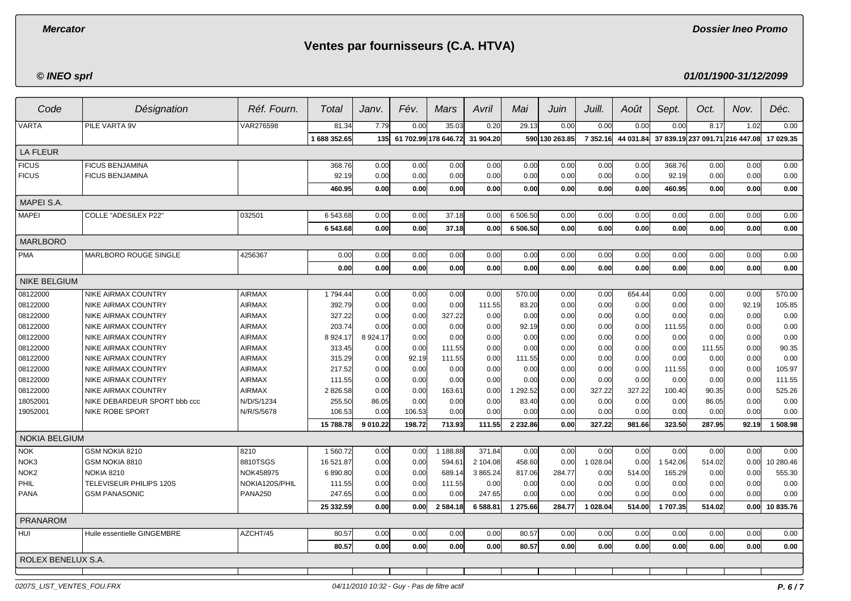**Dossier Ineo Promo**

## **Ventes par fournisseurs (C.A. HTVA)**

**© INEO sprl**

**01/01/1900-31/12/2099**

| Code                 | Désignation                  | Réf. Fourn.    | Total        | Janv.     | Fév.   | Mars                 | Avril     | Mai      | Juin           | Juill.   | Août      | Sept.    | Oct.                            | Nov.  | Déc.      |
|----------------------|------------------------------|----------------|--------------|-----------|--------|----------------------|-----------|----------|----------------|----------|-----------|----------|---------------------------------|-------|-----------|
| <b>VARTA</b>         | PILE VARTA 9V                | VAR276598      | 81.34        | 7.79      | 0.00   | 35.03                | 0.20      | 29.13    | 0.00           | 0.00     | 0.00      | 0.00     | 8.17                            | 1.02  | 0.00      |
|                      |                              |                | 1 688 352.65 | 135       |        | 61 702.99 178 646.72 | 31 904.20 |          | 590 130 263.85 | 7 352.16 | 44 031.84 |          | 37 839.19 237 091.71 216 447.08 |       | 17 029.35 |
| LA FLEUR             |                              |                |              |           |        |                      |           |          |                |          |           |          |                                 |       |           |
| <b>FICUS</b>         | <b>FICUS BENJAMINA</b>       |                | 368.76       | 0.00      | 0.00   | 0.00                 | 0.00      | 0.00     | 0.00           | 0.00     | 0.00      | 368.76   | 0.00                            | 0.00  | 0.00      |
| <b>FICUS</b>         | <b>FICUS BENJAMINA</b>       |                | 92.19        | 0.00      | 0.00   | 0.00                 | 0.00      | 0.00     | 0.00           | 0.00     | 0.00      | 92.19    | 0.00                            | 0.00  | 0.00      |
|                      |                              |                | 460.95       | 0.00      | 0.00   | 0.00                 | 0.00      | 0.00     | 0.00           | 0.00     | 0.00      | 460.95   | 0.00                            | 0.00  | 0.00      |
| MAPEI S.A.           |                              |                |              |           |        |                      |           |          |                |          |           |          |                                 |       |           |
| <b>MAPEI</b>         | <b>COLLE "ADESILEX P22"</b>  | 032501         | 6 543.68     | 0.00      | 0.00   | 37.18                | 0.00      | 6 506.50 | 0.00           | 0.00     | 0.00      | 0.00     | 0.00                            | 0.00  | 0.00      |
|                      |                              |                | 6 543.68     | 0.00      | 0.00   | 37.18                | 0.00      | 6 506.50 | 0.00           | 0.00     | 0.00      | 0.00     | 0.00                            | 0.00  | 0.00      |
| <b>MARLBORO</b>      |                              |                |              |           |        |                      |           |          |                |          |           |          |                                 |       |           |
| <b>PMA</b>           | MARLBORO ROUGE SINGLE        | 4256367        | 0.00         | 0.00      | 0.00   | 0.00                 | 0.00      | 0.00     | 0.00           | 0.00     | 0.00      | 0.00     | 0.00                            | 0.00  | 0.00      |
|                      |                              |                | 0.00         | 0.00      | 0.00   | 0.00                 | 0.00      | 0.00     | 0.00           | 0.00     | 0.00      | 0.00     | 0.00                            | 0.00  | 0.00      |
| <b>NIKE BELGIUM</b>  |                              |                |              |           |        |                      |           |          |                |          |           |          |                                 |       |           |
| 08122000             | <b>NIKE AIRMAX COUNTRY</b>   | <b>AIRMAX</b>  | 1794.44      | 0.00      | 0.00   | 0.00                 | 0.00      | 570.00   | 0.00           | 0.00     | 654.44    | 0.00     | 0.00                            | 0.00  | 570.00    |
| 08122000             | NIKE AIRMAX COUNTRY          | <b>AIRMAX</b>  | 392.79       | 0.00      | 0.00   | 0.00                 | 111.55    | 83.20    | 0.00           | 0.00     | 0.00      | 0.00     | 0.00                            | 92.19 | 105.85    |
| 08122000             | NIKE AIRMAX COUNTRY          | <b>AIRMAX</b>  | 327.22       | 0.00      | 0.00   | 327.22               | 0.00      | 0.00     | 0.00           | 0.00     | 0.00      | 0.00     | 0.00                            | 0.00  | 0.00      |
| 08122000             | NIKE AIRMAX COUNTRY          | <b>AIRMAX</b>  | 203.74       | 0.00      | 0.00   | 0.00                 | 0.00      | 92.19    | 0.00           | 0.00     | 0.00      | 111.55   | 0.00                            | 0.00  | 0.00      |
| 08122000             | <b>NIKE AIRMAX COUNTRY</b>   | <b>AIRMAX</b>  | 8 9 24.17    | 8 9 24.17 | 0.00   | 0.00                 | 0.00      | 0.00     | 0.00           | 0.00     | 0.00      | 0.00     | 0.00                            | 0.00  | 0.00      |
| 08122000             | NIKE AIRMAX COUNTRY          | <b>AIRMAX</b>  | 313.45       | 0.00      | 0.00   | 111.55               | 0.00      | 0.00     | 0.00           | 0.00     | 0.00      | 0.00     | 111.55                          | 0.00  | 90.35     |
| 08122000             | NIKE AIRMAX COUNTRY          | <b>AIRMAX</b>  | 315.29       | 0.00      | 92.19  | 111.55               | 0.00      | 111.55   | 0.00           | 0.00     | 0.00      | 0.00     | 0.00                            | 0.00  | 0.00      |
| 08122000             | NIKE AIRMAX COUNTRY          | <b>AIRMAX</b>  | 217.52       | 0.00      | 0.00   | 0.00                 | 0.00      | 0.00     | 0.00           | 0.00     | 0.00      | 111.55   | 0.00                            | 0.00  | 105.97    |
| 08122000             | NIKE AIRMAX COUNTRY          | <b>AIRMAX</b>  | 111.55       | 0.00      | 0.00   | 0.00                 | 0.00      | 0.00     | 0.00           | 0.00     | 0.00      | 0.00     | 0.00                            | 0.00  | 111.55    |
| 08122000             | <b>NIKE AIRMAX COUNTRY</b>   | <b>AIRMAX</b>  | 2 826.58     | 0.00      | 0.00   | 163.61               | 0.00      | 1 292.52 | 0.00           | 327.22   | 327.22    | 100.40   | 90.35                           | 0.00  | 525.26    |
| 18052001             | NIKE DEBARDEUR SPORT bbb ccc | N/D/S/1234     | 255.50       | 86.05     | 0.00   | 0.00                 | 0.00      | 83.40    | 0.00           | 0.00     | 0.00      | 0.00     | 86.05                           | 0.00  | 0.00      |
| 19052001             | <b>NIKE ROBE SPORT</b>       | N/R/S/5678     | 106.53       | 0.00      | 106.53 | 0.00                 | 0.00      | 0.00     | 0.00           | 0.00     | 0.00      | 0.00     | 0.00                            | 0.00  | 0.00      |
|                      |                              |                | 15 788.78    | 9 010.22  | 198.72 | 713.93               | 111.55    | 2 232.86 | 0.00           | 327.22   | 981.66    | 323.50   | 287.95                          | 92.19 | 1508.98   |
| <b>NOKIA BELGIUM</b> |                              |                |              |           |        |                      |           |          |                |          |           |          |                                 |       |           |
| <b>NOK</b>           | GSM NOKIA 8210               | 8210           | 1 560.72     | 0.00      | 0.00   | 1 188.88             | 371.84    | 0.00     | 0.00           | 0.00     | 0.00      | 0.00     | 0.00                            | 0.00  | 0.00      |
| NOK3                 | GSM NOKIA 8810               | 8810TSGS       | 16 521.87    | 0.00      | 0.00   | 594.61               | 2 104.08  | 458.60   | 0.00           | 1 028.04 | 0.00      | 1 542.06 | 514.02                          | 0.00  | 10 280.46 |
| NOK <sub>2</sub>     | <b>NOKIA 8210</b>            | NOK458975      | 6890.80      | 0.00      | 0.00   | 689.14               | 3 865.24  | 817.06   | 284.77         | 0.00     | 514.00    | 165.29   | 0.00                            | 0.00  | 555.30    |
| PHIL                 | TELEVISEUR PHILIPS 120S      | NOKIA120S/PHIL | 111.55       | 0.00      | 0.00   | 111.55               | 0.00      | 0.00     | 0.00           | 0.00     | 0.00      | 0.00     | 0.00                            | 0.00  | 0.00      |
| <b>PANA</b>          | <b>GSM PANASONIC</b>         | <b>PANA250</b> | 247.65       | 0.00      | 0.00   | 0.00                 | 247.65    | 0.00     | 0.00           | 0.00     | 0.00      | 0.00     | 0.00                            | 0.00  | 0.00      |
|                      |                              |                | 25 332.59    | 0.00      | 0.00   | 2 584.18             | 6 588.81  | 1 275.66 | 284.77         | 1 028.04 | 514.00    | 1707.35  | 514.02                          | 0.00  | 10835.76  |
| <b>PRANAROM</b>      |                              |                |              |           |        |                      |           |          |                |          |           |          |                                 |       |           |
| HUI                  | Huile essentielle GINGEMBRE  | AZCHT/45       | 80.57        | 0.00      | 0.00   | 0.00                 | 0.00      | 80.57    | 0.00           | 0.00     | 0.00      | 0.00     | 0.00                            | 0.00  | 0.00      |
|                      |                              |                | 80.57        | 0.00      | 0.00   | 0.00                 | 0.00      | 80.57    | 0.00           | 0.00     | 0.00      | 0.00     | 0.00                            | 0.00  | 0.00      |
| ROLEX BENELUX S.A.   |                              |                |              |           |        |                      |           |          |                |          |           |          |                                 |       |           |
|                      |                              |                |              |           |        |                      |           |          |                |          |           |          |                                 |       |           |

0207S\_LIST\_VENTES\_FOU.FRX